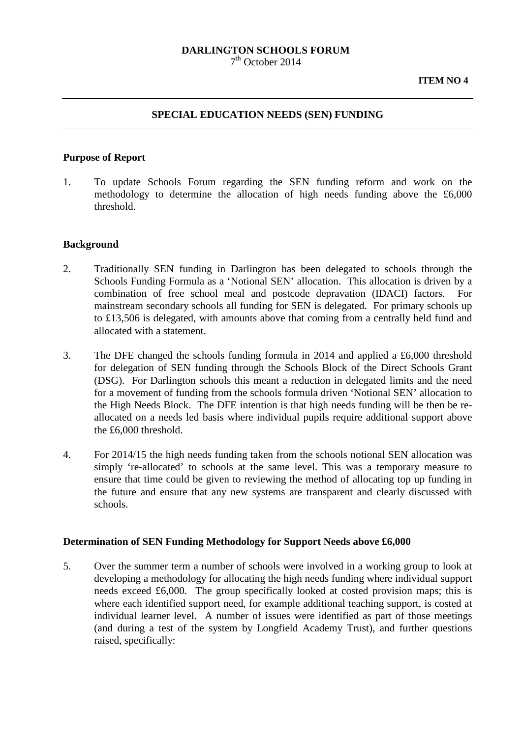#### **DARLINGTON SCHOOLS FORUM**  $7<sup>th</sup>$  October 2014

### **SPECIAL EDUCATION NEEDS (SEN) FUNDING**

#### **Purpose of Report**

1. To update Schools Forum regarding the SEN funding reform and work on the methodology to determine the allocation of high needs funding above the £6,000 threshold.

### **Background**

- 2. Traditionally SEN funding in Darlington has been delegated to schools through the Schools Funding Formula as a 'Notional SEN' allocation. This allocation is driven by a combination of free school meal and postcode depravation (IDACI) factors. For mainstream secondary schools all funding for SEN is delegated. For primary schools up to £13,506 is delegated, with amounts above that coming from a centrally held fund and allocated with a statement.
- 3. The DFE changed the schools funding formula in 2014 and applied a £6,000 threshold for delegation of SEN funding through the Schools Block of the Direct Schools Grant (DSG). For Darlington schools this meant a reduction in delegated limits and the need for a movement of funding from the schools formula driven 'Notional SEN' allocation to the High Needs Block. The DFE intention is that high needs funding will be then be reallocated on a needs led basis where individual pupils require additional support above the £6,000 threshold.
- 4. For 2014/15 the high needs funding taken from the schools notional SEN allocation was simply 're-allocated' to schools at the same level. This was a temporary measure to ensure that time could be given to reviewing the method of allocating top up funding in the future and ensure that any new systems are transparent and clearly discussed with schools.

### **Determination of SEN Funding Methodology for Support Needs above £6,000**

5. Over the summer term a number of schools were involved in a working group to look at developing a methodology for allocating the high needs funding where individual support needs exceed £6,000. The group specifically looked at costed provision maps; this is where each identified support need, for example additional teaching support, is costed at individual learner level. A number of issues were identified as part of those meetings (and during a test of the system by Longfield Academy Trust), and further questions raised, specifically: